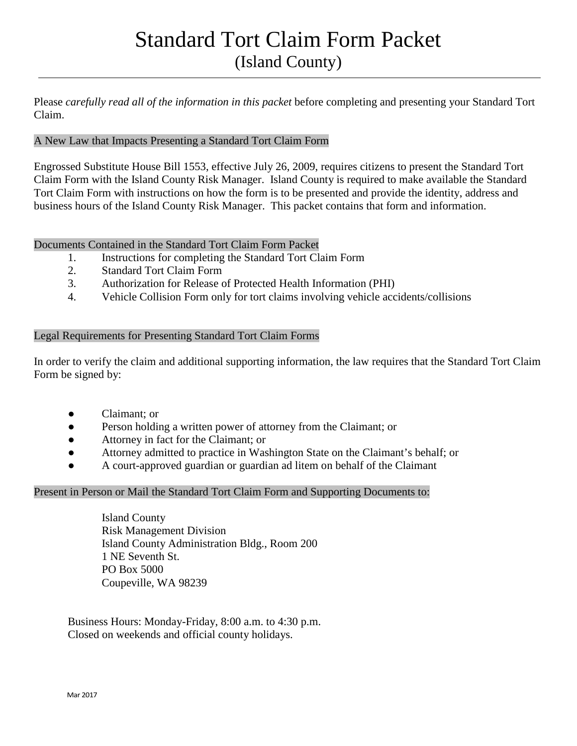# Standard Tort Claim Form Packet (Island County)

Please *carefully read all of the information in this packet* before completing and presenting your Standard Tort Claim.

### A New Law that Impacts Presenting a Standard Tort Claim Form

Engrossed Substitute House Bill 1553, effective July 26, 2009, requires citizens to present the Standard Tort Claim Form with the Island County Risk Manager. Island County is required to make available the Standard Tort Claim Form with instructions on how the form is to be presented and provide the identity, address and business hours of the Island County Risk Manager. This packet contains that form and information.

#### Documents Contained in the Standard Tort Claim Form Packet

- 1. Instructions for completing the Standard Tort Claim Form
- 2. Standard Tort Claim Form
- 3. Authorization for Release of Protected Health Information (PHI)
- 4. Vehicle Collision Form only for tort claims involving vehicle accidents/collisions

#### Legal Requirements for Presenting Standard Tort Claim Forms

In order to verify the claim and additional supporting information, the law requires that the Standard Tort Claim Form be signed by:

- Claimant; or
- Person holding a written power of attorney from the Claimant; or
- Attorney in fact for the Claimant; or
- Attorney admitted to practice in Washington State on the Claimant's behalf; or
- A court-approved guardian or guardian ad litem on behalf of the Claimant

#### Present in Person or Mail the Standard Tort Claim Form and Supporting Documents to:

Island County Risk Management Division Island County Administration Bldg., Room 200 1 NE Seventh St. PO Box 5000 Coupeville, WA 98239

Business Hours: Monday-Friday, 8:00 a.m. to 4:30 p.m. Closed on weekends and official county holidays.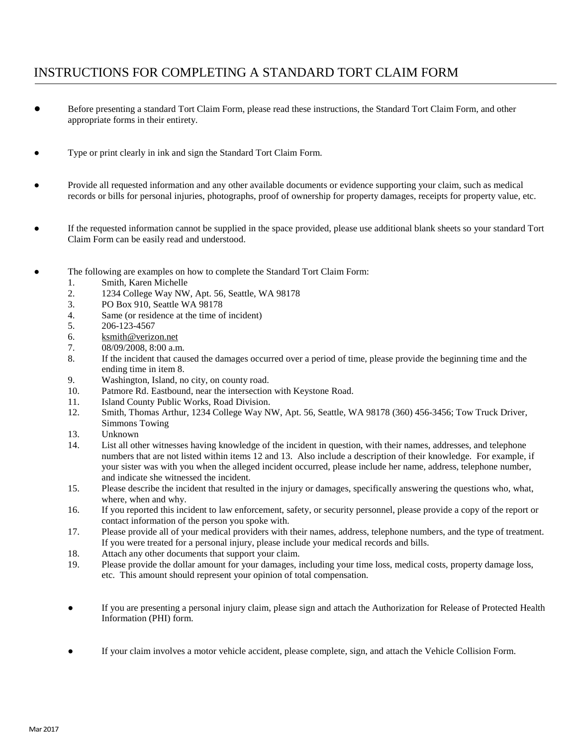# INSTRUCTIONS FOR COMPLETING A STANDARD TORT CLAIM FORM

- Before presenting a standard Tort Claim Form, please read these instructions, the Standard Tort Claim Form, and other appropriate forms in their entirety.
- Type or print clearly in ink and sign the Standard Tort Claim Form.
- Provide all requested information and any other available documents or evidence supporting your claim, such as medical records or bills for personal injuries, photographs, proof of ownership for property damages, receipts for property value, etc.
- If the requested information cannot be supplied in the space provided, please use additional blank sheets so your standard Tort Claim Form can be easily read and understood.
- The following are examples on how to complete the Standard Tort Claim Form:
	- 1. Smith, Karen Michelle
	- 2. 1234 College Way NW, Apt. 56, Seattle, WA 98178
	- 3. PO Box 910, Seattle WA 98178
	- 4. Same (or residence at the time of incident)
	- 5. 206-123-4567
	- 6. [ksmith@verizon.net](mailto:ksmith@verizon.net)
	- 7. 08/09/2008, 8:00 a.m.
	- 8. If the incident that caused the damages occurred over a period of time, please provide the beginning time and the ending time in item 8.
	- 9. Washington, Island, no city, on county road.
	- 10. Patmore Rd. Eastbound, near the intersection with Keystone Road.
	- 11. Island County Public Works, Road Division.
	- 12. Smith, Thomas Arthur, 1234 College Way NW, Apt. 56, Seattle, WA 98178 (360) 456-3456; Tow Truck Driver, Simmons Towing
	- 13. Unknown
	- 14. List all other witnesses having knowledge of the incident in question, with their names, addresses, and telephone numbers that are not listed within items 12 and 13. Also include a description of their knowledge. For example, if your sister was with you when the alleged incident occurred, please include her name, address, telephone number, and indicate she witnessed the incident.
	- 15. Please describe the incident that resulted in the injury or damages, specifically answering the questions who, what, where, when and why.
	- 16. If you reported this incident to law enforcement, safety, or security personnel, please provide a copy of the report or contact information of the person you spoke with.
	- 17. Please provide all of your medical providers with their names, address, telephone numbers, and the type of treatment. If you were treated for a personal injury, please include your medical records and bills.
	- 18. Attach any other documents that support your claim.
	- 19. Please provide the dollar amount for your damages, including your time loss, medical costs, property damage loss, etc. This amount should represent your opinion of total compensation.
	- If you are presenting a personal injury claim, please sign and attach the Authorization for Release of Protected Health Information (PHI) form.
	- If your claim involves a motor vehicle accident, please complete, sign, and attach the Vehicle Collision Form.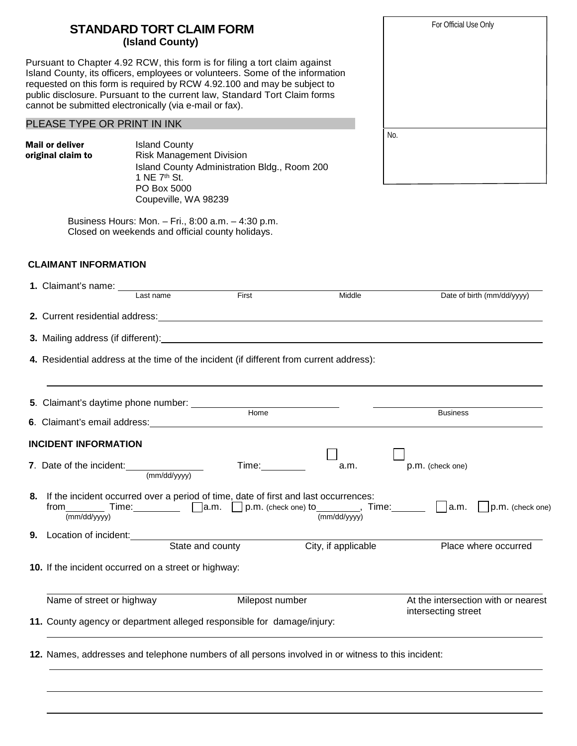| <b>STANDARD TORT CLAIM FORM</b> |  |
|---------------------------------|--|
| (Island County)                 |  |

Pursuant to Chapter 4.92 RCW, this form is for filing a tort claim against Island County, its officers, employees or volunteers. Some of the information requested on this form is required by RCW 4.92.100 and may be subject to public disclosure. Pursuant to the current law, Standard Tort Claim forms cannot be submitted electronically (via e-mail or fax).

#### PLEASE TYPE OR PRINT IN INK

**Mail or deliver** Island County<br> **original claim to** Risk Managem

Risk Management Division Island County Administration Bldg., Room 200 1 NE 7th St. PO Box 5000 Coupeville, WA 98239

Business Hours: Mon. – Fri., 8:00 a.m. – 4:30 p.m. Closed on weekends and official county holidays.

#### **CLAIMANT INFORMATION**

|    | 11. County agency or department alleged responsible for damage/injury: |              |                                 |                                                                                                                                                                        |                                                            |  |
|----|------------------------------------------------------------------------|--------------|---------------------------------|------------------------------------------------------------------------------------------------------------------------------------------------------------------------|------------------------------------------------------------|--|
|    | Name of street or highway                                              |              | Milepost number                 |                                                                                                                                                                        | At the intersection with or nearest<br>intersecting street |  |
|    | 10. If the incident occurred on a street or highway:                   |              |                                 |                                                                                                                                                                        |                                                            |  |
|    | Location of incident:<br>State and county                              |              |                                 | City, if applicable                                                                                                                                                    | Place where occurred                                       |  |
| 9. |                                                                        |              |                                 |                                                                                                                                                                        |                                                            |  |
|    | $from \_\_\_\_\_\_\_$<br>$\overline{\text{(mm/dd/yyyy)}}$              |              |                                 | 8. If the incident occurred over a period of time, date of first and last occurrences:<br>Time: $\Box$ a.m. $\Box$ p.m. (check one) to $\frac{1}{(mm/dd/yyy)}$ , Time: | $\vert$ $\vert$ p.m. (check one)                           |  |
|    | 7. Date of the incident:                                               | (mm/dd/vvvv) | Time: The Contract of the Time: | a.m.                                                                                                                                                                   | p.m. (check one)                                           |  |
|    | <b>INCIDENT INFORMATION</b>                                            |              |                                 |                                                                                                                                                                        |                                                            |  |
|    |                                                                        |              |                                 |                                                                                                                                                                        |                                                            |  |
|    |                                                                        |              | Home                            |                                                                                                                                                                        | <b>Business</b>                                            |  |
|    | 5. Claimant's daytime phone number:                                    |              |                                 |                                                                                                                                                                        |                                                            |  |
|    |                                                                        |              |                                 | 4. Residential address at the time of the incident (if different from current address):                                                                                |                                                            |  |
|    |                                                                        |              |                                 |                                                                                                                                                                        |                                                            |  |
|    |                                                                        |              |                                 |                                                                                                                                                                        |                                                            |  |
|    |                                                                        |              |                                 |                                                                                                                                                                        |                                                            |  |
|    |                                                                        | Last name    | First                           | Middle                                                                                                                                                                 | Date of birth (mm/dd/yyyy)                                 |  |

|     | For Official Use Only |  |
|-----|-----------------------|--|
|     |                       |  |
|     |                       |  |
|     |                       |  |
|     |                       |  |
|     |                       |  |
| No. |                       |  |
|     |                       |  |
|     |                       |  |
|     |                       |  |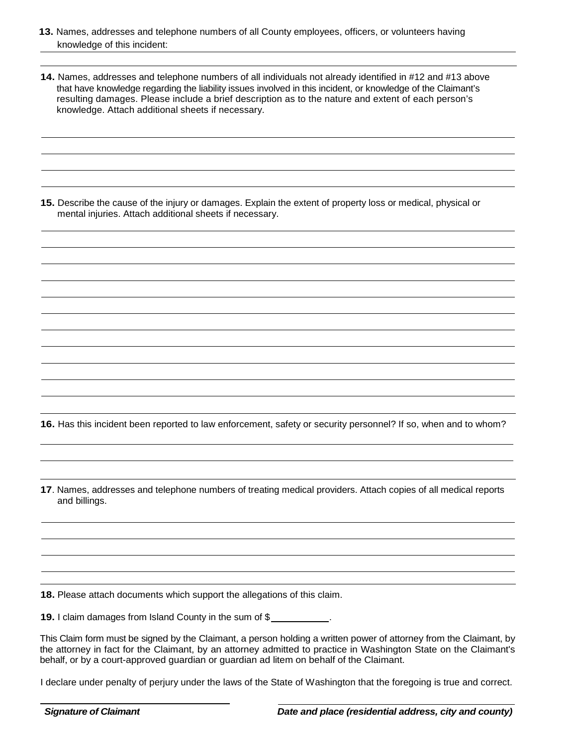- **13.** Names, addresses and telephone numbers of all County employees, officers, or volunteers having knowledge of this incident:
- **14.** Names, addresses and telephone numbers of all individuals not already identified in #12 and #13 above that have knowledge regarding the liability issues involved in this incident, or knowledge of the Claimant's resulting damages. Please include a brief description as to the nature and extent of each person's knowledge. Attach additional sheets if necessary.

**15.** Describe the cause of the injury or damages. Explain the extent of property loss or medical, physical or mental injuries. Attach additional sheets if necessary.

**16.** Has this incident been reported to law enforcement, safety or security personnel? If so, when and to whom?

**17**. Names, addresses and telephone numbers of treating medical providers. Attach copies of all medical reports and billings.

**18.** Please attach documents which support the allegations of this claim.

**19.** I claim damages from Island County in the sum of \$

This Claim form must be signed by the Claimant, a person holding a written power of attorney from the Claimant, by the attorney in fact for the Claimant, by an attorney admitted to practice in Washington State on the Claimant's behalf, or by a court-approved guardian or guardian ad litem on behalf of the Claimant.

I declare under penalty of perjury under the laws of the State of Washington that the foregoing is true and correct.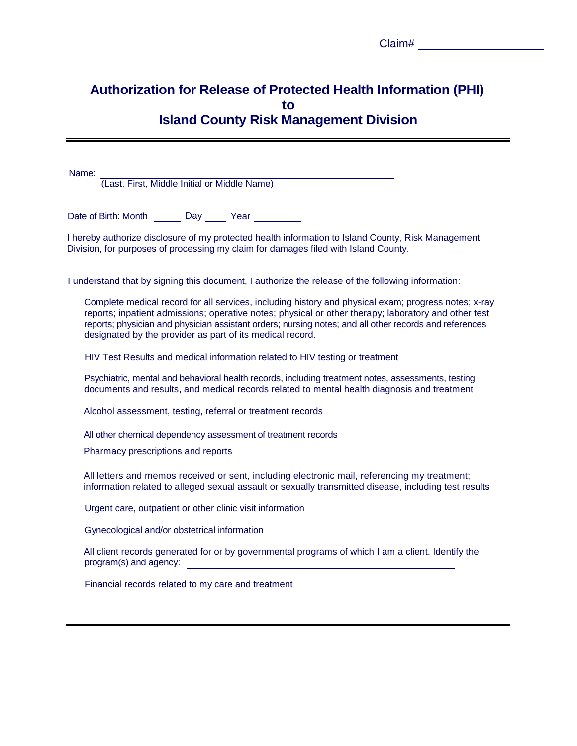| Claim# |  |  |
|--------|--|--|
|        |  |  |

## **Authorization for Release of Protected Health Information (PHI) to Island County Risk Management Division**

Name:

(Last, First, Middle Initial or Middle Name)

Date of Birth: Month Day Pear

I hereby authorize disclosure of my protected health information to Island County, Risk Management Division, for purposes of processing my claim for damages filed with Island County.

I understand that by signing this document, I authorize the release of the following information:

Complete medical record for all services, including history and physical exam; progress notes; x-ray reports; inpatient admissions; operative notes; physical or other therapy; laboratory and other test reports; physician and physician assistant orders; nursing notes; and all other records and references designated by the provider as part of its medical record.

HIV Test Results and medical information related to HIV testing or treatment

Psychiatric, mental and behavioral health records, including treatment notes, assessments, testing documents and results, and medical records related to mental health diagnosis and treatment

Alcohol assessment, testing, referral or treatment records

All other chemical dependency assessment of treatment records

Pharmacy prescriptions and reports

All letters and memos received or sent, including electronic mail, referencing my treatment; information related to alleged sexual assault or sexually transmitted disease, including test results

Urgent care, outpatient or other clinic visit information

Gynecological and/or obstetrical information

All client records generated for or by governmental programs of which I am a client. Identify the program(s) and agency:

Financial records related to my care and treatment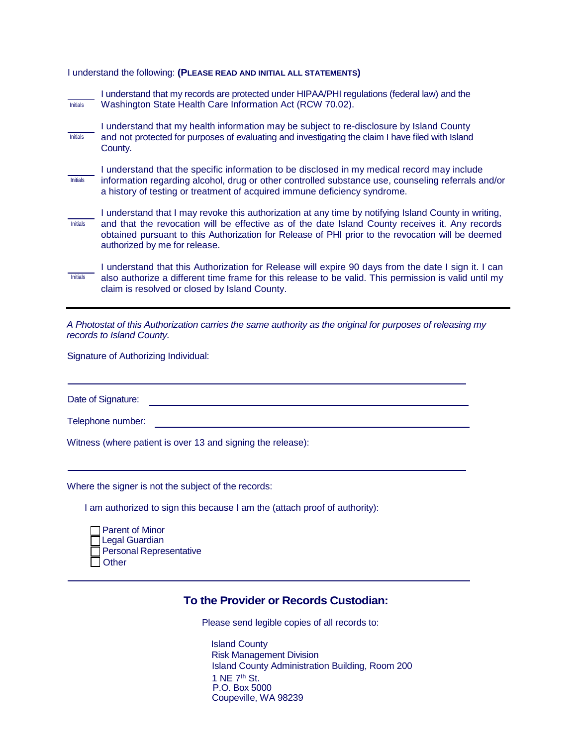#### I understand the following: **(PLEASE READ AND INITIAL ALL STATEMENTS)**

| <b>Initials</b> | I understand that my records are protected under HIPAA/PHI regulations (federal law) and the<br>Washington State Health Care Information Act (RCW 70.02).                                                                                                                                                                                     |
|-----------------|-----------------------------------------------------------------------------------------------------------------------------------------------------------------------------------------------------------------------------------------------------------------------------------------------------------------------------------------------|
| <b>Initials</b> | I understand that my health information may be subject to re-disclosure by Island County<br>and not protected for purposes of evaluating and investigating the claim I have filed with Island<br>County.                                                                                                                                      |
| <b>Initials</b> | I understand that the specific information to be disclosed in my medical record may include<br>information regarding alcohol, drug or other controlled substance use, counseling referrals and/or<br>a history of testing or treatment of acquired immune deficiency syndrome.                                                                |
| <b>Initials</b> | I understand that I may revoke this authorization at any time by notifying Island County in writing,<br>and that the revocation will be effective as of the date Island County receives it. Any records<br>obtained pursuant to this Authorization for Release of PHI prior to the revocation will be deemed<br>authorized by me for release. |
| <b>Initials</b> | I understand that this Authorization for Release will expire 90 days from the date I sign it. I can<br>also authorize a different time frame for this release to be valid. This permission is valid until my<br>claim is resolved or closed by Island County.                                                                                 |

*A Photostat of this Authorization carries the same authority as the original for purposes of releasing my records to Island County.*

Signature of Authorizing Individual:

Date of Signature:

Telephone number:

Witness (where patient is over 13 and signing the release):

Where the signer is not the subject of the records:

I am authorized to sign this because I am the (attach proof of authority):

| $\Box$ Parent of Minor         |
|--------------------------------|
| □Legal Guardian                |
| $\Box$ Personal Representative |
| Other                          |

#### **To the Provider or Records Custodian:**

Please send legible copies of all records to:

Island County Risk Management Division Island County Administration Building, Room 200 1 NE 7th St. P.O. Box 5000 Coupeville, WA 98239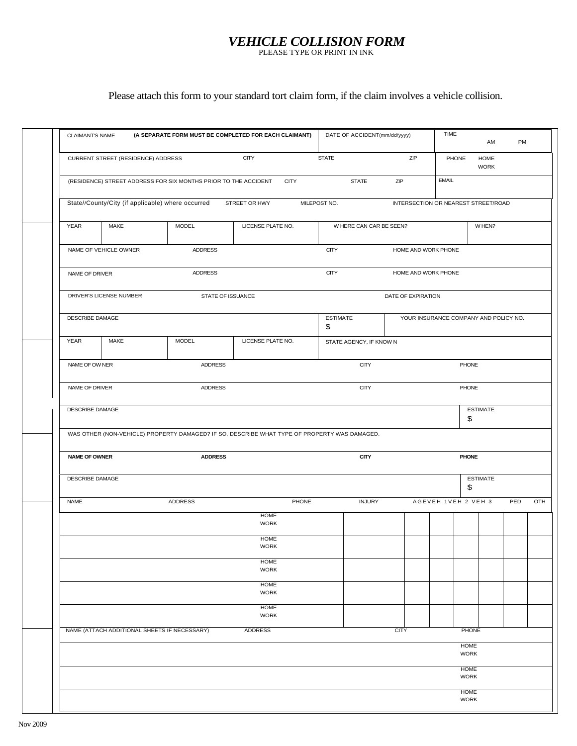## *VEHICLE COLLISION FORM*

PLEASE TYPE OR PRINT IN INK

## Please attach this form to your standard tort claim form, if the claim involves a vehicle collision.

| <b>CLAIMANT'S NAME</b> |                                                   |                                                                 | (A SEPARATE FORM MUST BE COMPLETED FOR EACH CLAIMANT)                                        | DATE OF ACCIDENT(mm/dd/yyyy) |                                     | TIME                | AM                                    | PM  |     |
|------------------------|---------------------------------------------------|-----------------------------------------------------------------|----------------------------------------------------------------------------------------------|------------------------------|-------------------------------------|---------------------|---------------------------------------|-----|-----|
|                        | CURRENT STREET (RESIDENCE) ADDRESS                |                                                                 | <b>CITY</b>                                                                                  | <b>STATE</b>                 | ZIP                                 | PHONE               | HOME<br><b>WORK</b>                   |     |     |
|                        |                                                   | (RESIDENCE) STREET ADDRESS FOR SIX MONTHS PRIOR TO THE ACCIDENT | <b>CITY</b>                                                                                  | <b>STATE</b>                 | ZIP                                 | <b>EMAIL</b>        |                                       |     |     |
|                        | State//County/City (if applicable) where occurred |                                                                 | STREET OR HWY                                                                                | MILEPOST NO.                 | INTERSECTION OR NEAREST STREET/ROAD |                     |                                       |     |     |
| YEAR                   | MAKE                                              | MODEL                                                           | LICENSE PLATE NO.                                                                            | W HERE CAN CAR BE SEEN?      |                                     |                     | W HEN?                                |     |     |
|                        | NAME OF VEHICLE OWNER                             | ADDRESS                                                         |                                                                                              | <b>CITY</b>                  | HOME AND WORK PHONE                 |                     |                                       |     |     |
| NAME OF DRIVER         |                                                   | <b>ADDRESS</b>                                                  |                                                                                              | <b>CITY</b>                  | HOME AND WORK PHONE                 |                     |                                       |     |     |
|                        | DRIVER'S LICENSE NUMBER                           | STATE OF ISSUANCE                                               |                                                                                              |                              | DATE OF EXPIRATION                  |                     |                                       |     |     |
| DESCRIBE DAMAGE        |                                                   |                                                                 |                                                                                              | <b>ESTIMATE</b><br>\$        |                                     |                     | YOUR INSURANCE COMPANY AND POLICY NO. |     |     |
| YEAR                   | MAKE                                              | <b>MODEL</b>                                                    | LICENSE PLATE NO.                                                                            | STATE AGENCY, IF KNOW N      |                                     |                     |                                       |     |     |
| NAME OF OW NER         |                                                   | <b>ADDRESS</b>                                                  |                                                                                              | <b>CITY</b>                  |                                     |                     | PHONE                                 |     |     |
| NAME OF DRIVER         |                                                   | <b>ADDRESS</b>                                                  |                                                                                              | <b>CITY</b>                  |                                     |                     | <b>PHONE</b>                          |     |     |
| DESCRIBE DAMAGE        |                                                   |                                                                 |                                                                                              |                              |                                     |                     | <b>ESTIMATE</b><br>\$                 |     |     |
|                        |                                                   |                                                                 | WAS OTHER (NON-VEHICLE) PROPERTY DAMAGED? IF SO, DESCRIBE WHAT TYPE OF PROPERTY WAS DAMAGED. |                              |                                     |                     |                                       |     |     |
| <b>NAME OF OWNER</b>   |                                                   | <b>ADDRESS</b>                                                  |                                                                                              | <b>CITY</b><br><b>PHONE</b>  |                                     |                     |                                       |     |     |
| DESCRIBE DAMAGE        |                                                   |                                                                 |                                                                                              |                              |                                     |                     | <b>ESTIMATE</b>                       |     |     |
|                        |                                                   |                                                                 |                                                                                              |                              |                                     |                     | \$                                    |     |     |
|                        |                                                   | ADDRESS                                                         | PHONE                                                                                        | <b>INJURY</b>                |                                     | AGEVEH 1VEH 2 VEH 3 |                                       | PED |     |
| <b>NAME</b>            |                                                   |                                                                 | <b>HOME</b><br><b>WORK</b>                                                                   |                              |                                     |                     |                                       |     | OTH |
|                        |                                                   |                                                                 | <b>HOME</b><br><b>WORK</b>                                                                   |                              |                                     |                     |                                       |     |     |
|                        |                                                   |                                                                 | <b>HOME</b><br><b>WORK</b>                                                                   |                              |                                     |                     |                                       |     |     |
|                        |                                                   |                                                                 | <b>HOME</b><br><b>WORK</b>                                                                   |                              |                                     |                     |                                       |     |     |
|                        |                                                   |                                                                 | <b>HOME</b><br><b>WORK</b>                                                                   |                              |                                     |                     |                                       |     |     |
|                        | NAME (ATTACH ADDITIONAL SHEETS IF NECESSARY)      |                                                                 | <b>ADDRESS</b>                                                                               |                              | <b>CITY</b>                         |                     | <b>PHONE</b>                          |     |     |
|                        |                                                   |                                                                 |                                                                                              |                              |                                     |                     | <b>HOME</b><br><b>WORK</b>            |     |     |
|                        |                                                   |                                                                 |                                                                                              |                              |                                     |                     | <b>HOME</b><br><b>WORK</b>            |     |     |